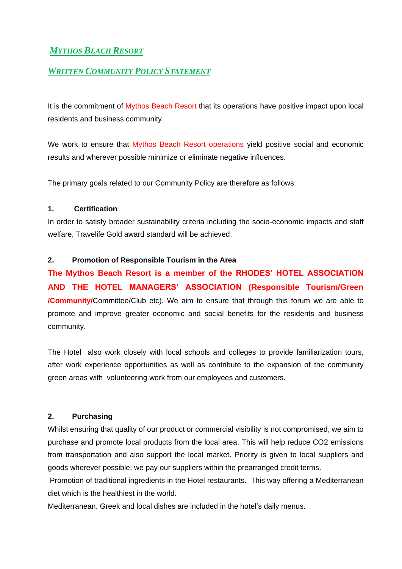# *MYTHOS BEACH RESORT*

## *WRITTEN COMMUNITY POLICY STATEMENT*

It is the commitment of Mythos Beach Resort that its operations have positive impact upon local residents and business community.

We work to ensure that Mythos Beach Resort operations yield positive social and economic results and wherever possible minimize or eliminate negative influences.

The primary goals related to our Community Policy are therefore as follows:

#### **1. Certification**

In order to satisfy broader sustainability criteria including the socio-economic impacts and staff welfare, Travelife Gold award standard will be achieved.

#### **2. Promotion of Responsible Tourism in the Area**

**The Mythos Beach Resort is a member of the RHODES' HOTEL ASSOCIATION AND THE HOTEL MANAGERS' ASSOCIATION (Responsible Tourism/Green /Community/**Committee/Club etc). We aim to ensure that through this forum we are able to promote and improve greater economic and social benefits for the residents and business community.

The Hotel also work closely with local schools and colleges to provide familiarization tours, after work experience opportunities as well as contribute to the expansion of the community green areas with volunteering work from our employees and customers.

## **2. Purchasing**

Whilst ensuring that quality of our product or commercial visibility is not compromised, we aim to purchase and promote local products from the local area. This will help reduce CO2 emissions from transportation and also support the local market. Priority is given to local suppliers and goods wherever possible; we pay our suppliers within the prearranged credit terms.

Promotion of traditional ingredients in the Hotel restaurants. This way offering a Mediterranean diet which is the healthiest in the world.

Mediterranean, Greek and local dishes are included in the hotel's daily menus.